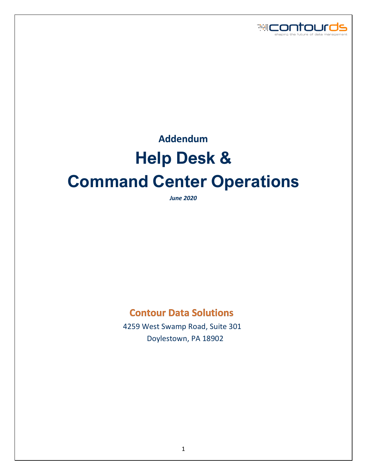

# **Addendum Help Desk & Command Center Operations**

*June 2020*

# **Contour Data Solutions**

 4259 West Swamp Road, Suite 301 Doylestown, PA 18902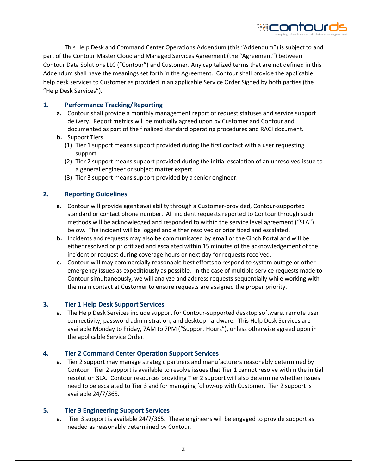This Help Desk and Command Center Operations Addendum (this "Addendum") is subject to and part of the Contour Master Cloud and Managed Services Agreement (the "Agreement") between Contour Data Solutions LLC ("Contour") and Customer. Any capitalized terms that are not defined in this Addendum shall have the meanings set forth in the Agreement. Contour shall provide the applicable help desk services to Customer as provided in an applicable Service Order Signed by both parties (the "Help Desk Services").

**WEDNTOUR** 

# **1. Performance Tracking/Reporting**

- **a.** Contour shall provide a monthly management report of request statuses and service support delivery. Report metrics will be mutually agreed upon by Customer and Contour and documented as part of the finalized standard operating procedures and RACI document.
- **b.** Support Tiers
	- (1) Tier 1 support means support provided during the first contact with a user requesting support.
	- (2) Tier 2 support means support provided during the initial escalation of an unresolved issue to a general engineer or subject matter expert.
	- (3) Tier 3 support means support provided by a senior engineer.

# **2. Reporting Guidelines**

- **a.** Contour will provide agent availability through a Customer-provided, Contour-supported standard or contact phone number. All incident requests reported to Contour through such methods will be acknowledged and responded to within the service level agreement ("SLA") below. The incident will be logged and either resolved or prioritized and escalated.
- **b.** Incidents and requests may also be communicated by email or the Cinch Portal and will be either resolved or prioritized and escalated within 15 minutes of the acknowledgement of the incident or request during coverage hours or next day for requests received.
- **c.** Contour will may commercially reasonable best efforts to respond to system outage or other emergency issues as expeditiously as possible. In the case of multiple service requests made to Contour simultaneously, we will analyze and address requests sequentially while working with the main contact at Customer to ensure requests are assigned the proper priority.

# **3. Tier 1 Help Desk Support Services**

**a.** The Help Desk Services include support for Contour-supported desktop software, remote user connectivity, password administration, and desktop hardware. This Help Desk Services are available Monday to Friday, 7AM to 7PM ("Support Hours"), unless otherwise agreed upon in the applicable Service Order.

# **4. Tier 2 Command Center Operation Support Services**

**a.** Tier 2 support may manage strategic partners and manufacturers reasonably determined by Contour. Tier 2 support is available to resolve issues that Tier 1 cannot resolve within the initial resolution SLA. Contour resources providing Tier 2 support will also determine whether issues need to be escalated to Tier 3 and for managing follow-up with Customer. Tier 2 support is available 24/7/365.

# **5. Tier 3 Engineering Support Services**

**a.** Tier 3 support is available 24/7/365. These engineers will be engaged to provide support as needed as reasonably determined by Contour.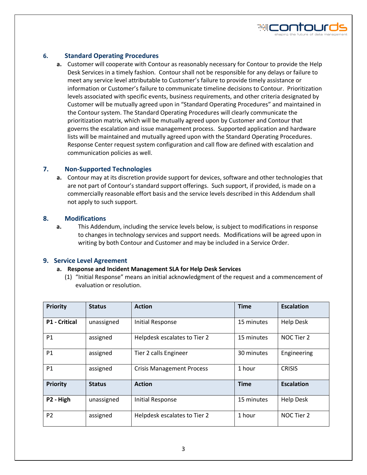

# **6. Standard Operating Procedures**

**a.** Customer will cooperate with Contour as reasonably necessary for Contour to provide the Help Desk Services in a timely fashion. Contour shall not be responsible for any delays or failure to meet any service level attributable to Customer's failure to provide timely assistance or information or Customer's failure to communicate timeline decisions to Contour. Prioritization levels associated with specific events, business requirements, and other criteria designated by Customer will be mutually agreed upon in "Standard Operating Procedures" and maintained in the Contour system. The Standard Operating Procedures will clearly communicate the prioritization matrix, which will be mutually agreed upon by Customer and Contour that governs the escalation and issue management process. Supported application and hardware lists will be maintained and mutually agreed upon with the Standard Operating Procedures. Response Center request system configuration and call flow are defined with escalation and communication policies as well.

#### **7. Non-Supported Technologies**

**a.** Contour may at its discretion provide support for devices, software and other technologies that are not part of Contour's standard support offerings. Such support, if provided, is made on a commercially reasonable effort basis and the service levels described in this Addendum shall not apply to such support.

#### **8. Modifications**

**a.** This Addendum, including the service levels below, is subject to modifications in response to changes in technology services and support needs. Modifications will be agreed upon in writing by both Contour and Customer and may be included in a Service Order.

#### **9. Service Level Agreement**

#### **a. Response and Incident Management SLA for Help Desk Services**

(1) "Initial Response" means an initial acknowledgment of the request and a commencement of evaluation or resolution.

| <b>Priority</b>      | <b>Status</b> | <b>Time</b><br><b>Action</b>               |                                | <b>Escalation</b> |
|----------------------|---------------|--------------------------------------------|--------------------------------|-------------------|
| <b>P1 - Critical</b> | unassigned    | <b>Initial Response</b>                    | 15 minutes                     | <b>Help Desk</b>  |
| P <sub>1</sub>       | assigned      | Helpdesk escalates to Tier 2<br>15 minutes |                                | NOC Tier 2        |
| P <sub>1</sub>       | assigned      | Tier 2 calls Engineer                      | 30 minutes                     | Engineering       |
| P <sub>1</sub>       | assigned      | <b>Crisis Management Process</b>           | 1 hour                         | <b>CRISIS</b>     |
| <b>Priority</b>      | <b>Status</b> | <b>Action</b>                              | <b>Time</b>                    |                   |
| P2 - High            | unassigned    | Initial Response                           | 15 minutes<br><b>Help Desk</b> |                   |
| P <sub>2</sub>       | assigned      | 1 hour<br>Helpdesk escalates to Tier 2     |                                | NOC Tier 2        |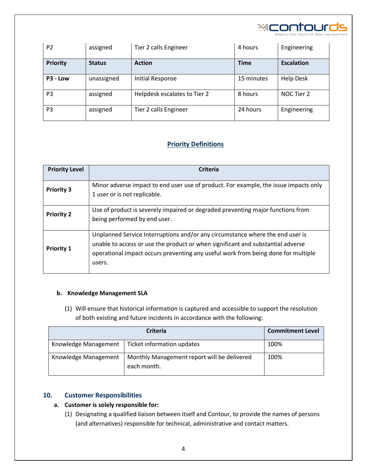

| P <sub>2</sub>  | assigned      | Tier 2 calls Engineer             | 4 hours               | Engineering       |
|-----------------|---------------|-----------------------------------|-----------------------|-------------------|
| <b>Priority</b> | <b>Status</b> | <b>Time</b><br><b>Action</b>      |                       | <b>Escalation</b> |
| P3 - Low        | unassigned    | Initial Response                  | 15 minutes            | <b>Help Desk</b>  |
| P <sub>3</sub>  | assigned      | Helpdesk escalates to Tier 2      | 8 hours<br>NOC Tier 2 |                   |
| P <sub>3</sub>  | assigned      | Tier 2 calls Engineer<br>24 hours |                       | Engineering       |

# **Priority Definitions**

| <b>Priority Level</b> | <b>Criteria</b>                                                                                                                                                                                                                                                 |
|-----------------------|-----------------------------------------------------------------------------------------------------------------------------------------------------------------------------------------------------------------------------------------------------------------|
| <b>Priority 3</b>     | Minor adverse impact to end user use of product. For example, the issue impacts only<br>1 user or is not replicable.                                                                                                                                            |
| <b>Priority 2</b>     | Use of product is severely impaired or degraded preventing major functions from<br>being performed by end user.                                                                                                                                                 |
| <b>Priority 1</b>     | Unplanned Service Interruptions and/or any circumstance where the end user is<br>unable to access or use the product or when significant and substantial adverse<br>operational impact occurs preventing any useful work from being done for multiple<br>users. |

#### **b. Knowledge Management SLA**

(1) Will ensure that historical information is captured and accessible to support the resolution of both existing and future incidents in accordance with the following:

|                      | <b>Commitment Level</b>                                    |      |
|----------------------|------------------------------------------------------------|------|
|                      | Knowledge Management   Ticket information updates          | 100% |
| Knowledge Management | Monthly Management report will be delivered<br>each month. | 100% |

# **10. Customer Responsibilities**

#### **a. Customer is solely responsible for:**

(1) Designating a qualified liaison between itself and Contour, to provide the names of persons (and alternatives) responsible for technical, administrative and contact matters.